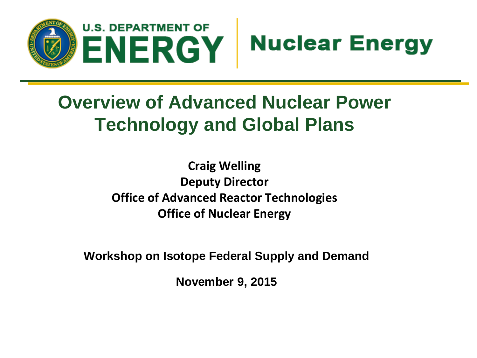



# **Overview of Advanced Nuclear Power Technology and Global Plans**

**Craig Welling Deputy Director Office of Advanced Reactor Technologies Office of Nuclear Energy**

**Workshop on Isotope Federal Supply and Demand**

**November 9, 2015**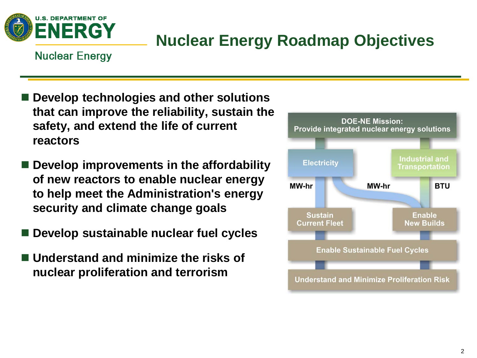

## **Nuclear Energy Roadmap Objectives**

#### **Nuclear Energy**

- **Develop technologies and other solutions that can improve the reliability, sustain the safety, and extend the life of current reactors**
- Develop improvements in the affordability **of new reactors to enable nuclear energy to help meet the Administration's energy security and climate change goals**
- **Develop sustainable nuclear fuel cycles**
- **Understand and minimize the risks of nuclear proliferation and terrorism**

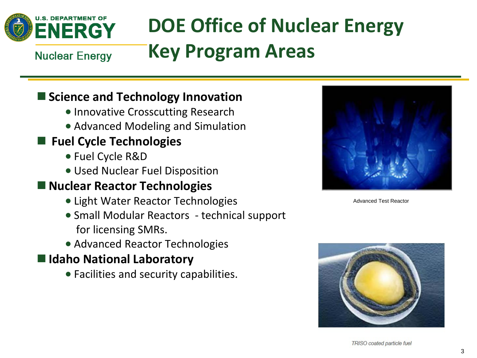

# **DOE Office of Nuclear Energy Key Program Areas**

**Nuclear Energy** 

#### **Science and Technology Innovation**

- Innovative Crosscutting Research
- Advanced Modeling and Simulation

### **Fuel Cycle Technologies**

- Fuel Cycle R&D
- Used Nuclear Fuel Disposition

#### **Nuclear Reactor Technologies**

- Light Water Reactor Technologies
- Small Modular Reactors technical support for licensing SMRs.
- Advanced Reactor Technologies

#### **Idaho National Laboratory**

• Facilities and security capabilities.



Advanced Test Reactor

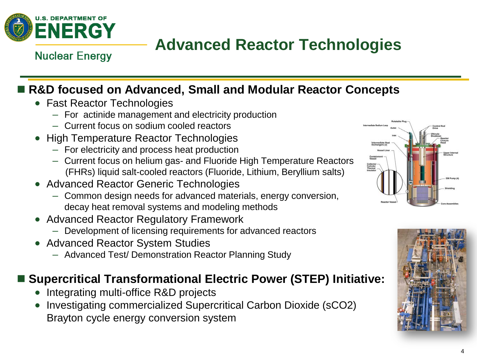

## **Advanced Reactor Technologies**

**Nuclear Energy** 

### ■ R&D focused on Advanced, Small and Modular Reactor Concepts

- Fast Reactor Technologies
	- For actinide management and electricity production
	- Current focus on sodium cooled reactors
- High Temperature Reactor Technologies
	- For electricity and process heat production
	- Current focus on helium gas- and Fluoride High Temperature Reactors (FHRs) liquid salt-cooled reactors (Fluoride, Lithium, Beryllium salts)
- Advanced Reactor Generic Technologies
	- Common design needs for advanced materials, energy conversion, decay heat removal systems and modeling methods
- Advanced Reactor Regulatory Framework
	- Development of licensing requirements for advanced reactors
- Advanced Reactor System Studies
	- Advanced Test/ Demonstration Reactor Planning Study

#### ■ Supercritical Transformational Electric Power (STEP) Initiative:

- Integrating multi-office R&D projects
- Investigating commercialized Supercritical Carbon Dioxide (sCO2) Brayton cycle energy conversion system



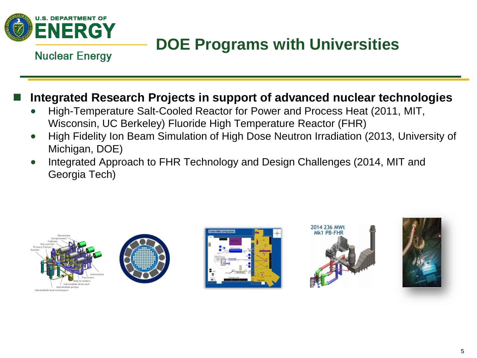

## **DOE Programs with Universities**

**Nuclear Energy** 

#### **Integrated Research Projects in support of advanced nuclear technologies**

- High-Temperature Salt-Cooled Reactor for Power and Process Heat (2011, MIT, Wisconsin, UC Berkeley) Fluoride High Temperature Reactor (FHR)
- High Fidelity Ion Beam Simulation of High Dose Neutron Irradiation (2013, University of Michigan, DOE)
- Integrated Approach to FHR Technology and Design Challenges (2014, MIT and Georgia Tech)









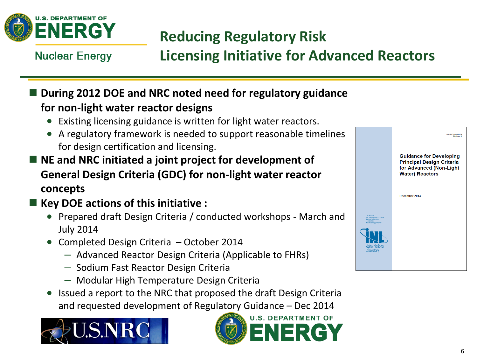

## **Reducing Regulatory Risk**

**Nuclear Energy** 

### **Licensing Initiative for Advanced Reactors**

#### **During 2012 DOE and NRC noted need for regulatory guidance for non-light water reactor designs**

- Existing licensing guidance is written for light water reactors.
- A regulatory framework is needed to support reasonable timelines for design certification and licensing.
- NE and NRC initiated a joint project for development of **General Design Criteria (GDC) for non-light water reactor concepts**
- Key DOE actions of this initiative :
	- Prepared draft Design Criteria / conducted workshops March and July 2014
	- Completed Design Criteria October 2014
		- Advanced Reactor Design Criteria (Applicable to FHRs)
		- Sodium Fast Reactor Design Criteria
		- Modular High Temperature Design Criteria
	- Issued a report to the NRC that proposed the draft Design Criteria and requested development of Regulatory Guidance – Dec 2014





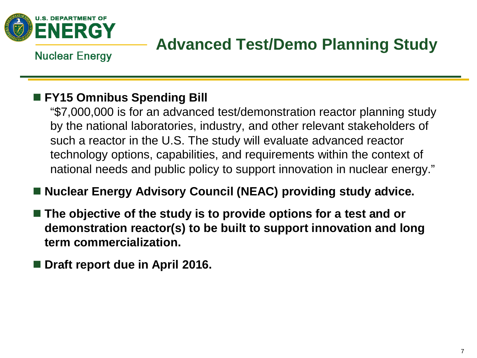

## **Advanced Test/Demo Planning Study**

**Nuclear Energy** 

### **FY15 Omnibus Spending Bill**

"\$7,000,000 is for an advanced test/demonstration reactor planning study by the national laboratories, industry, and other relevant stakeholders of such a reactor in the U.S. The study will evaluate advanced reactor technology options, capabilities, and requirements within the context of national needs and public policy to support innovation in nuclear energy."

#### ■ Nuclear Energy Advisory Council (NEAC) providing study advice.

- The objective of the study is to provide options for a test and or **demonstration reactor(s) to be built to support innovation and long term commercialization.**
- Draft report due in April 2016.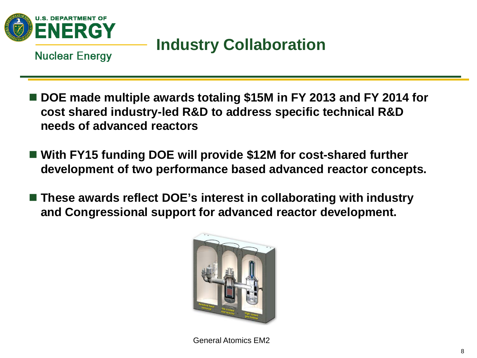

## **Industry Collaboration**

**Nuclear Energy** 

- DOE made multiple awards totaling \$15M in FY 2013 and FY 2014 for **cost shared industry-led R&D to address specific technical R&D needs of advanced reactors**
- With FY15 funding DOE will provide \$12M for cost-shared further **development of two performance based advanced reactor concepts.**
- These awards reflect DOE's interest in collaborating with industry **and Congressional support for advanced reactor development.**



General Atomics EM2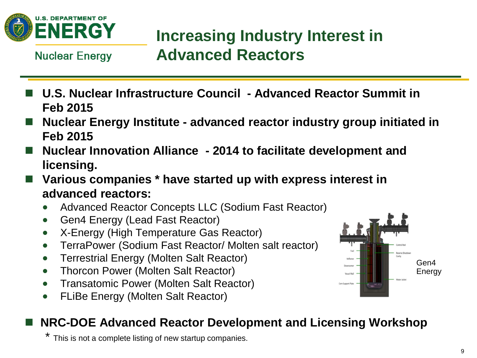

## **Increasing Industry Interest in Advanced Reactors**

**Nuclear Energy** 

- **U.S. Nuclear Infrastructure Council - Advanced Reactor Summit in Feb 2015**
- **Nuclear Energy Institute - advanced reactor industry group initiated in Feb 2015**
- Nuclear Innovation Alliance 2014 to facilitate development and **licensing.**
- **Various companies \* have started up with express interest in advanced reactors:**
	- Advanced Reactor Concepts LLC (Sodium Fast Reactor)
	- Gen4 Energy (Lead Fast Reactor)
	- X-Energy (High Temperature Gas Reactor)
	- TerraPower (Sodium Fast Reactor/ Molten salt reactor)
	- Terrestrial Energy (Molten Salt Reactor)
	- Thorcon Power (Molten Salt Reactor)
	- Transatomic Power (Molten Salt Reactor)
	- FLiBe Energy (Molten Salt Reactor)

### ■ NRC-DOE Advanced Reactor Development and Licensing Workshop

This is not a complete listing of new startup companies.

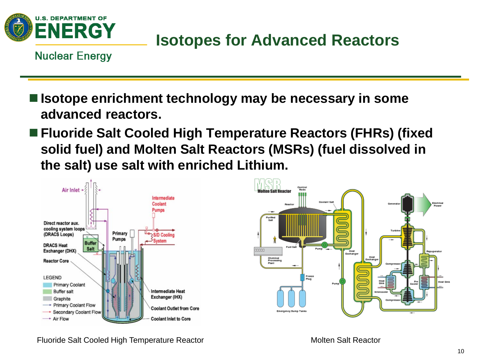

## **Isotopes for Advanced Reactors**

**Nuclear Energy** 

- **Isotope enrichment technology may be necessary in some advanced reactors.**
- **Fluoride Salt Cooled High Temperature Reactors (FHRs) (fixed solid fuel) and Molten Salt Reactors (MSRs) (fuel dissolved in the salt) use salt with enriched Lithium.**



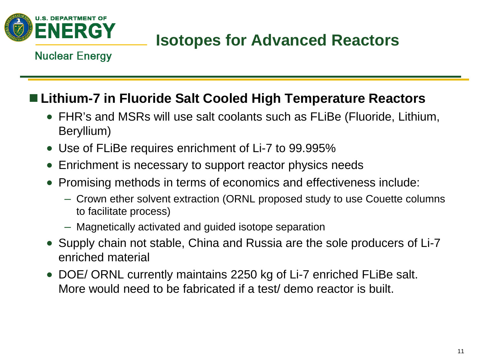

## **Isotopes for Advanced Reactors**

#### **Nuclear Energy**

### **Lithium-7 in Fluoride Salt Cooled High Temperature Reactors**

- FHR's and MSRs will use salt coolants such as FLiBe (Fluoride, Lithium, Beryllium)
- Use of FLiBe requires enrichment of Li-7 to 99.995%
- Enrichment is necessary to support reactor physics needs
- Promising methods in terms of economics and effectiveness include:
	- Crown ether solvent extraction (ORNL proposed study to use Couette columns to facilitate process)
	- Magnetically activated and guided isotope separation
- Supply chain not stable, China and Russia are the sole producers of Li-7 enriched material
- DOE/ ORNL currently maintains 2250 kg of Li-7 enriched FLiBe salt. More would need to be fabricated if a test/ demo reactor is built.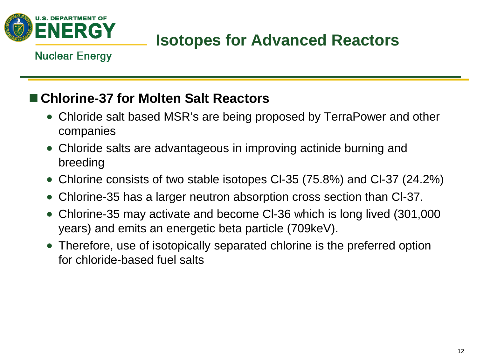

## **Isotopes for Advanced Reactors**

#### **Nuclear Energy**

### ■ Chlorine-37 for Molten Salt Reactors

- Chloride salt based MSR's are being proposed by TerraPower and other companies
- Chloride salts are advantageous in improving actinide burning and breeding
- Chlorine consists of two stable isotopes CI-35 (75.8%) and CI-37 (24.2%)
- Chlorine-35 has a larger neutron absorption cross section than Cl-37.
- Chlorine-35 may activate and become Cl-36 which is long lived (301,000 years) and emits an energetic beta particle (709keV).
- Therefore, use of isotopically separated chlorine is the preferred option for chloride-based fuel salts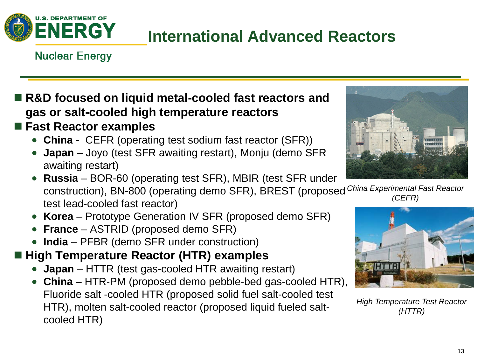

## **International Advanced Reactors**

#### **Nuclear Energy**

### ■ R&D focused on liquid metal-cooled fast reactors and **gas or salt-cooled high temperature reactors**

#### **Fast Reactor examples**

- **China** CEFR (operating test sodium fast reactor (SFR))
- **Japan** Joyo (test SFR awaiting restart), Monju (demo SFR awaiting restart)
- **Russia** BOR-60 (operating test SFR), MBIR (test SFR under construction), BN-800 (operating demo SFR), BREST (proposed *China Experimental Fast Reactor*  test lead-cooled fast reactor) *(CEFR)*
- **Korea** Prototype Generation IV SFR (proposed demo SFR)
- **France** ASTRID (proposed demo SFR)
- **India**  PFBR (demo SFR under construction)

### ■ High Temperature Reactor (HTR) examples

- **Japan** HTTR (test gas-cooled HTR awaiting restart)
- **China**  HTR-PM (proposed demo pebble-bed gas-cooled HTR), Fluoride salt -cooled HTR (proposed solid fuel salt-cooled test HTR), molten salt-cooled reactor (proposed liquid fueled saltcooled HTR)





*High Temperature Test Reactor (HTTR)*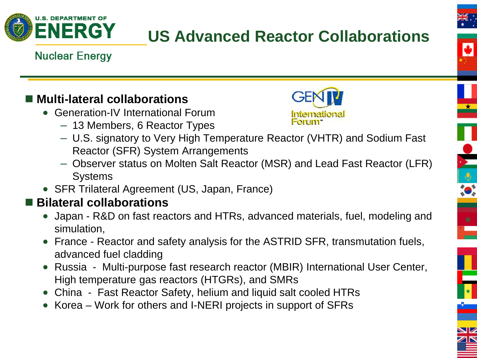

# **US Advanced Reactor Collaborations**







**DESERVE** 

 $\begin{array}{c}\n\star \\
\hline\n\end{array}$ 

### ■ Multi-lateral collaborations

- Generation-IV International Forum
	- 13 Members, 6 Reactor Types



- U.S. signatory to Very High Temperature Reactor (VHTR) and Sodium Fast Reactor (SFR) System Arrangements
- Observer status on Molten Salt Reactor (MSR) and Lead Fast Reactor (LFR) **Systems**
- SFR Trilateral Agreement (US, Japan, France)

### ■ Bilateral collaborations

- Japan R&D on fast reactors and HTRs, advanced materials, fuel, modeling and simulation,
- France Reactor and safety analysis for the ASTRID SFR, transmutation fuels, advanced fuel cladding
- Russia Multi-purpose fast research reactor (MBIR) International User Center, High temperature gas reactors (HTGRs), and SMRs
- China Fast Reactor Safety, helium and liquid salt cooled HTRs
- Korea Work for others and I-NERI projects in support of SFRs